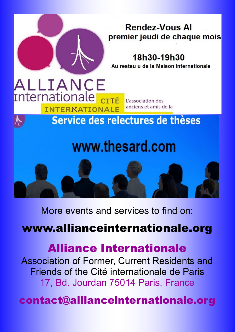

More events and services to find on:

## www.allianceinternationale.org

## Alliance Internationale

Association of Former, Current Residents and Friends of the Cité internationale de Paris 17, Bd. Jourdan 75014 Paris, France

contact@allianceinternationale.org